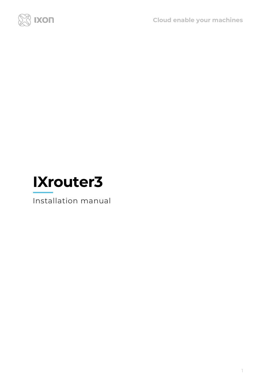



Installation manual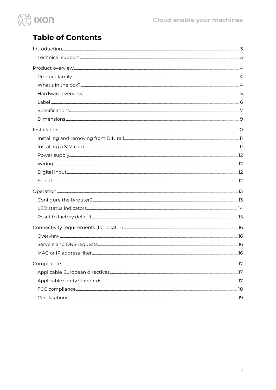

# **Table of Contents**

<span id="page-1-0"></span>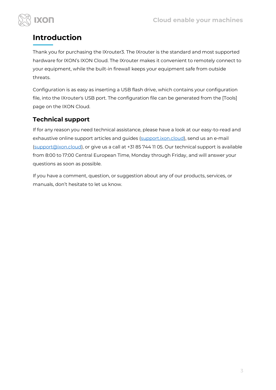

# **Introduction**

Thank you for purchasing the IXrouter3. The IXrouter is the standard and most supported hardware for IXON's IXON Cloud. The IXrouter makes it convenient to remotely connect to your equipment, while the built-in firewall keeps your equipment safe from outside threats.

Configuration is as easy as inserting a USB flash drive, which contains your configuration file, into the IXrouter's USB port. The configuration file can be generated from the [Tools] page on the IXON Cloud.

## <span id="page-2-0"></span>**Technical support**

If for any reason you need technical assistance, please have a look at our easy-to-read and exhaustive online support articles and guides [\(support.ixon.cloud\)](https://support.ixon.cloud/), send us an e-mail [\(support@ixon.cloud\)](mailto:support@ixon.cloud), or give us a call at +31 85 744 11 05. Our technical support is available from 8:00 to 17:00 Central European Time, Monday through Friday, and will answer your questions as soon as possible.

If you have a comment, question, or suggestion about any of our products, services, or manuals, don't hesitate to let us know.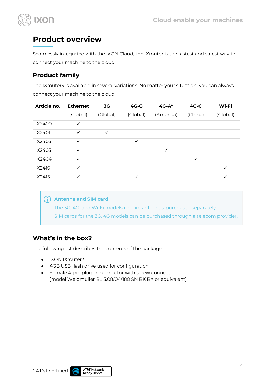

# <span id="page-3-0"></span>**Product overview**

Seamlessly integrated with the IXON Cloud, the IXrouter is the fastest and safest way to connect your machine to the cloud.

## <span id="page-3-1"></span>**Product family**

The IXrouter3 is available in several variations. No matter your situation, you can always connect your machine to the cloud.

| Article no. | <b>Ethernet</b> | 3G           | $4G-G$       | $4G-A*$   | $4G-C$       | Wi-Fi        |
|-------------|-----------------|--------------|--------------|-----------|--------------|--------------|
|             | (Global)        | (Global)     | (Global)     | (America) | (China)      | (Global)     |
| IX2400      | ✓               |              |              |           |              |              |
| IX2401      | $\checkmark$    | $\checkmark$ |              |           |              |              |
| IX2405      | $\checkmark$    |              | $\checkmark$ |           |              |              |
| IX2403      | ✓               |              |              | ✓         |              |              |
| IX2404      | $\checkmark$    |              |              |           | $\checkmark$ |              |
| IX2410      | $\checkmark$    |              |              |           |              | $\checkmark$ |
| IX2415      | ✓               |              | ✓            |           |              | ✓            |

#### **Antenna and SIM card**  $\binom{4}{1}$

The 3G, 4G, and Wi-Fi models require antennas, purchased separately. SIM cards for the 3G, 4G models can be purchased through a telecom provider.

#### <span id="page-3-2"></span>**What's in the box?**

The following list describes the contents of the package:

- IXON IXrouter3
- 4GB USB flash drive used for configuration
- Female 4-pin plug-in connector with screw connection (model Weidmuller BL 5.08/04/180 SN BK BX or equivalent)

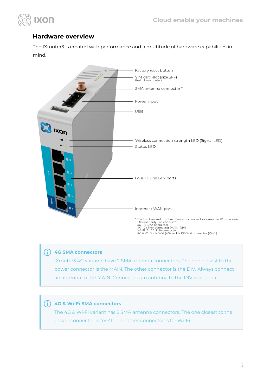

#### <span id="page-4-0"></span>**Hardware overview**

The IXrouter3 is created with performance and a multitude of hardware capabilities in mind.



#### Ŧ **4G SMA connectors**

IXrouter3 4G variants have 2 SMA antenna connectors. The one closest to the power connector is the MAIN. The other connector is the DIV. Always connect an antenna to the MAIN. Connecting an antenna to the DIV is optional.

#### Œ **4G & Wi-Fi SMA connectors**

The 4G & Wi-Fi variant has 2 SMA antenna connectors. The one closest to the power connector is for 4G. The other connector is for Wi-Fi.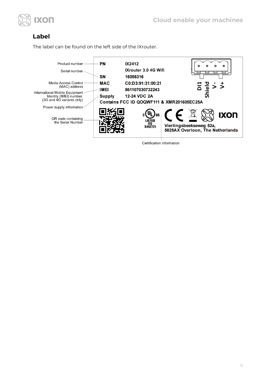

#### <span id="page-5-0"></span>**Label**

The label can be found on the left side of the IXrouter.



Certification information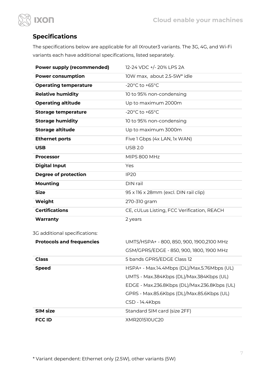



## <span id="page-6-0"></span>**Specifications**

The specifications below are applicable for all IXrouter3 variants. The 3G, 4G, and Wi-Fi variants each have additional specifications, listed separately.

| <b>Power supply (recommended)</b> | 12-24 VDC +/- 20% LPS 2A                     |
|-----------------------------------|----------------------------------------------|
| <b>Power consumption</b>          | 10W max, about 2.5-5W* idle                  |
| <b>Operating temperature</b>      | -20°C to +65°C                               |
| <b>Relative humidity</b>          | 10 to 95% non-condensing                     |
| <b>Operating altitude</b>         | Up to maximum 2000m                          |
| <b>Storage temperature</b>        | -20°C to +65°C                               |
| <b>Storage humidity</b>           | 10 to 95% non-condensing                     |
| <b>Storage altitude</b>           | Up to maximum 3000m                          |
| <b>Ethernet ports</b>             | Five 1 Gbps (4x LAN, 1x WAN)                 |
| <b>USB</b>                        | <b>USB 2.0</b>                               |
| <b>Processor</b>                  | MIPS 800 MHz                                 |
| <b>Digital Input</b>              | Yes                                          |
| <b>Degree of protection</b>       | <b>IP20</b>                                  |
| <b>Mounting</b>                   | DIN rail                                     |
| <b>Size</b>                       | 95 x 116 x 28mm (excl. DIN rail clip)        |
| Weight                            | 270-310 gram                                 |
| <b>Certifications</b>             | CE, cULus Listing, FCC Verification, REACH   |
| Warranty                          | 2 years                                      |
| 3G additional specifications:     |                                              |
| <b>Protocols and frequencies</b>  | UMTS/HSPA+ - 800, 850, 900, 1900, 2100 MHz   |
|                                   | GSM/GPRS/EDGE - 850, 900, 1800, 1900 MHz     |
| <b>Class</b>                      | 5 bands GPRS/EDGE Class 12                   |
| <b>Speed</b>                      | HSPA+ - Max.14.4Mbps (DL)/Max.5.76Mbps (UL)  |
|                                   | UMTS - Max.384Kbps (DL)/Max.384Kbps (UL)     |
|                                   | EDGE - Max.236.8Kbps (DL)/Max.236.8Kbps (UL) |
|                                   |                                              |

GPRS - Max.85.6Kbps (DL)/Max.85.6Kbps (UL) CSD - 14.4Kbps **SIM size** Standard SIM card (size 2FF) **FCC ID** XMR201510UC20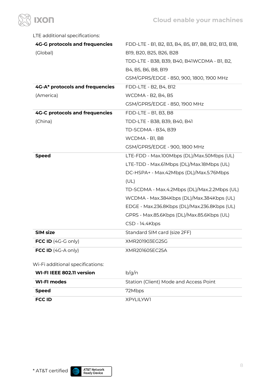

| LTE additional specifications:        |                                                      |
|---------------------------------------|------------------------------------------------------|
| <b>4G-G protocols and frequencies</b> | FDD-LTE - B1, B2, B3, B4, B5, B7, B8, B12, B13, B18, |
| (Global)                              | B19, B20, B25, B26, B28                              |
|                                       | TDD-LTE - B38, B39, B40, B41WCDMA - B1, B2,          |
|                                       | B4, B5, B6, B8, B19                                  |
|                                       | GSM/GPRS/EDGE - 850, 900, 1800, 1900 MHz             |
| 4G-A* protocols and frequencies       | FDD-LTE - B2, B4, B12                                |
| (America)                             | <b>WCDMA - B2, B4, B5</b>                            |
|                                       | GSM/GPRS/EDGE - 850, 1900 MHz                        |
| <b>4G-C protocols and frequencies</b> | FDD-LTE - B1, B3, B8                                 |
| (China)                               | TDD-LTE - B38, B39, B40, B41                         |
|                                       | TD-SCDMA - B34, B39                                  |
|                                       | WCDMA - B1, B8                                       |
|                                       | GSM/GPRS/EDGE - 900, 1800 MHz                        |
|                                       |                                                      |
| <b>Speed</b>                          | LTE-FDD - Max.100Mbps (DL)/Max.50Mbps (UL)           |
|                                       | LTE-TDD - Max.61Mbps (DL)/Max.18Mbps (UL)            |
|                                       | DC-HSPA+ - Max.42Mbps (DL)/Max.5.76Mbps              |
|                                       | (UL)                                                 |
|                                       | TD-SCDMA - Max.4.2Mbps (DL)/Max.2.2Mbps (UL)         |
|                                       | WCDMA - Max.384Kbps (DL)/Max.384Kbps (UL)            |
|                                       | EDGE - Max.236.8Kbps (DL)/Max.236.8Kbps (UL)         |
|                                       | GPRS - Max.85.6Kbps (DL)/Max.85.6Kbps (UL)           |
|                                       | CSD - 14.4Kbps                                       |
| <b>SIM size</b>                       | Standard SIM card (size 2FF)                         |
| FCC ID $(4G-G \text{ only})$          | XMR201903EG25G                                       |

#### Wi-Fi additional specifications:

| <b>WI-FI IEEE 802.11 version</b> | b/g/n                                  |
|----------------------------------|----------------------------------------|
| WI-FI modes                      | Station (Client) Mode and Access Point |
| Speed                            | 72Mbps                                 |
| <b>FCC ID</b>                    | XPYLILYW1                              |



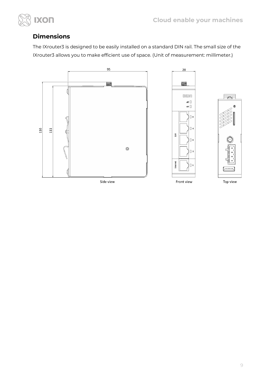

### <span id="page-8-0"></span>**Dimensions**

The IXrouter3 is designed to be easily installed on a standard DIN rail. The small size of the IXrouter3 allows you to make efficient use of space. (Unit of measurement: millimeter.)







Side view

Front view

Top view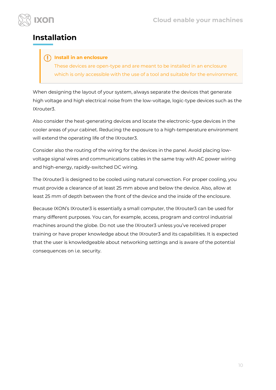

## <span id="page-9-0"></span>**Installation**

#### **Install in an enclosure**

These devices are open-type and are meant to be installed in an enclosure which is only accessible with the use of a tool and suitable for the environment.

When designing the layout of your system, always separate the devices that generate high voltage and high electrical noise from the low-voltage, logic-type devices such as the IXrouter3.

Also consider the heat-generating devices and locate the electronic-type devices in the cooler areas of your cabinet. Reducing the exposure to a high-temperature environment will extend the operating life of the IXrouter3.

Consider also the routing of the wiring for the devices in the panel. Avoid placing lowvoltage signal wires and communications cables in the same tray with AC power wiring and high-energy, rapidly-switched DC wiring.

The IXrouter3 is designed to be cooled using natural convection. For proper cooling, you must provide a clearance of at least 25 mm above and below the device. Also, allow at least 25 mm of depth between the front of the device and the inside of the enclosure.

Because IXON's IXrouter3 is essentially a small computer, the IXrouter3 can be used for many different purposes. You can, for example, access, program and control industrial machines around the globe. Do not use the IXrouter3 unless you've received proper training or have proper knowledge about the IXrouter3 and its capabilities. It is expected that the user is knowledgeable about networking settings and is aware of the potential consequences on i.e. security.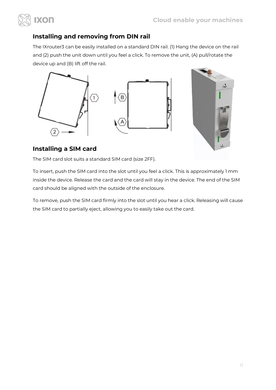

## <span id="page-10-0"></span>**Installing and removing from DIN rail**

The IXrouter3 can be easily installed on a standard DIN rail. (1) Hang the device on the rail and (2) push the unit down until you feel a click. To remove the unit, (A) pull/rotate the device up and (B) lift off the rail.





### <span id="page-10-1"></span>**Installing a SIM card**

The SIM card slot suits a standard SIM card (size 2FF).

To insert, push the SIM card into the slot until you feel a click. This is approximately 1 mm inside the device. Release the card and the card will stay in the device. The end of the SIM card should be aligned with the outside of the enclosure.

To remove, push the SIM card firmly into the slot until you hear a click. Releasing will cause the SIM card to partially eject, allowing you to easily take out the card.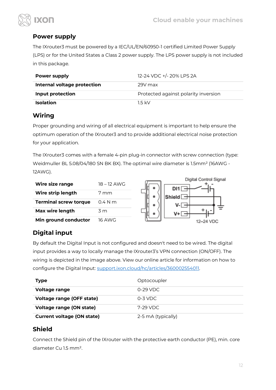

#### <span id="page-11-0"></span>**Power supply**

XON

The IXrouter3 must be powered by a IEC/UL/EN/60950-1 certified Limited Power Supply (LPS) or for the United States a Class 2 power supply. The LPS power supply is not included in this package.

| Power supply                | 12-24 VDC +/- 20% LPS 2A             |
|-----------------------------|--------------------------------------|
| Internal voltage protection | 29V max                              |
| <b>Input protection</b>     | Protected against polarity inversion |
| <b>Isolation</b>            | 15 kV                                |

#### <span id="page-11-1"></span>**Wiring**

Proper grounding and wiring of all electrical equipment is important to help ensure the optimum operation of the IXrouter3 and to provide additional electrical noise protection for your application.

The IXrouter3 comes with a female 4-pin plug-in connector with screw connection (type: Weidmuller BL 5.08/04/180 SN BK BX). The optimal wire diameter is 1.5mm² (16AWG - 12AWG).

| Wire size range              | 18 – 12 AWG   |
|------------------------------|---------------|
| Wire strip length            | 7 mm          |
| <b>Terminal screw torque</b> | $04$ N m      |
| Max wire length              | 3 m           |
| Min ground conductor         | <b>16 AWG</b> |



## <span id="page-11-2"></span>**Digital input**

By default the Digital Input is not configured and doesn't need to be wired. The digital input provides a way to locally manage the IXrouter3's VPN connection (ON/OFF). The wiring is depicted in the image above. View our online article for information on how to configure the Digital Input: [support.ixon.cloud/hc/articles/360002554011.](https://support.ixon.cloud/hc/articles/360002554011)

| <b>Type</b>                       | Optocoupler        |
|-----------------------------------|--------------------|
| <b>Voltage range</b>              | 0-29 VDC           |
| <b>Voltage range (OFF state)</b>  | $0-3$ VDC.         |
| <b>Voltage range (ON state)</b>   | 7-29 VDC           |
| <b>Current voltage (ON state)</b> | 2-5 mA (typically) |

#### <span id="page-11-3"></span>**Shield**

Connect the Shield pin of the IXrouter with the protective earth conductor (PE), min. core diameter Cu 1.5 mm².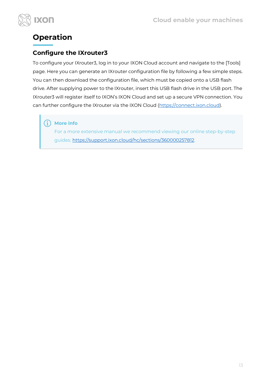



# <span id="page-12-0"></span>**Operation**

### <span id="page-12-1"></span>**Configure the IXrouter3**

To configure your IXrouter3, log in to your IXON Cloud account and navigate to the [Tools] page. Here you can generate an IXrouter configuration file by following a few simple steps. You can then download the configuration file, which must be copied onto a USB flash drive. After supplying power to the IXrouter, insert this USB flash drive in the USB port. The IXrouter3 will register itself to IXON's IXON Cloud and set up a secure VPN connection. You can further configure the IXrouter via the IXON Cloud [\(https://connect.ixon.cloud\)](https://connect.ixon.cloud/).

#### $(i)$ **More info**

For a more extensive manual we recommend viewing our online step-by-step guides: [https://support.ixon.cloud/hc/sections/360000257812.](https://support.ixon.cloud/hc/sections/360000257812)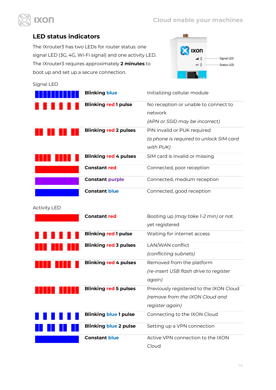

#### <span id="page-13-0"></span>**LED status indicators**

The IXrouter3 has two LEDs for router status: one signal LED (3G, 4G, Wi-Fi signal) and one activity LED. The IXrouter3 requires approximately **2 minutes** to boot up and set up a secure connection.



| Signal LED          |                              |                                                                                     |
|---------------------|------------------------------|-------------------------------------------------------------------------------------|
|                     | <b>Blinking blue</b>         | Initializing cellular module                                                        |
|                     | <b>Blinking red 1 pulse</b>  | No reception or unable to connect to<br>network<br>(APN or SSID may be incorrect)   |
|                     | <b>Blinking red 2 pulses</b> | PIN invalid or PUK required<br>(a phone is required to unlock SIM card<br>with PUK) |
|                     | <b>Blinking red 4 pulses</b> | SIM card is invalid or missing                                                      |
|                     | <b>Constant red</b>          | Connected, poor reception                                                           |
|                     | <b>Constant purple</b>       | Connected, medium reception                                                         |
|                     | <b>Constant blue</b>         | Connected, good reception                                                           |
| <b>Activity LED</b> |                              |                                                                                     |
|                     | <b>Constant red</b>          | Booting up (may take 1-2 min) or not<br>yet registered                              |
|                     | <b>Blinking red 1 pulse</b>  | Waiting for internet access                                                         |
|                     | <b>Blinking red 3 pulses</b> | LAN/WAN conflict<br>(conflicting subnets)                                           |

|     | <b>Blinking red 4 pulses</b> | Removed from the platform<br>(re-insert USB flash drive to register<br>again)                 |
|-----|------------------------------|-----------------------------------------------------------------------------------------------|
|     | <b>Blinking red 5 pulses</b> | Previously registered to the IXON Cloud<br>(remove from the IXON Cloud and<br>register again) |
| . . | <b>Blinking blue 1 pulse</b> | Connecting to the IXON Cloud                                                                  |
|     | <b>Blinking blue 2 pulse</b> | Setting up a VPN connection                                                                   |
|     | <b>Constant blue</b>         | Active VPN connection to the IXON<br>Cloud                                                    |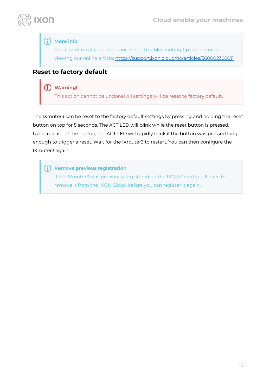

#### **More info**

For a list of most common causes and troubleshooting tips we recommend viewing our online article:<https://support.ixon.cloud/hc/articles/360002302011>

#### <span id="page-14-0"></span>**Reset to factory default**

#### **Warning!**

This action cannot be undone! All settings will be reset to factory default.

The IXrouter3 can be reset to the factory default settings by pressing and holding the reset button on top for 5 seconds. The ACT LED will blink while the reset button is pressed. Upon release of the button, the ACT LED will rapidly blink if the button was pressed long enough to trigger a reset. Wait for the IXrouter3 to restart. You can then configure the IXrouter3 again.

 $\left( \mathbf{f}\right)$ **Remove previous registration**

If the IXrouter3 was previously registered on the IXON Cloud you'll have to remove it from the IXON Cloud before you can register it again.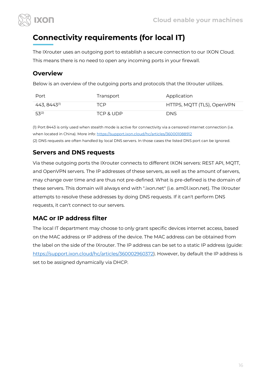

# <span id="page-15-0"></span>**Connectivity requirements (for local IT)**

The IXrouter uses an outgoing port to establish a secure connection to our IXON Cloud. This means there is no need to open any incoming ports in your firewall.

#### <span id="page-15-1"></span>**Overview**

Below is an overview of the outgoing ports and protocols that the IXrouter utilizes.

| Port                       | Transport | Application                |
|----------------------------|-----------|----------------------------|
| $443, 8443$ <sup>(1)</sup> | TCP.      | HTTPS, MQTT (TLS), OpenVPN |
| $53^{(2)}$                 | TCP & UDP | <b>DNS</b>                 |

(1) Port 8443 is only used when stealth mode is active for connectivity via a censored internet connection (i.e. when located in China). More info:<https://support.ixon.cloud/hc/articles/360001088912> (2) DNS requests are often handled by local DNS servers. In those cases the listed DNS port can be ignored.

#### <span id="page-15-2"></span>**Servers and DNS requests**

Via these outgoing ports the IXrouter connects to different IXON servers: REST API, MQTT, and OpenVPN servers. The IP addresses of these servers, as well as the amount of servers, may change over time and are thus not pre-defined. What is pre-defined is the domain of these servers. This domain will always end with ".ixon.net" (i.e. am01.ixon.net). The IXrouter attempts to resolve these addresses by doing DNS requests. If it can't perform DNS requests, it can't connect to our servers.

### <span id="page-15-3"></span>**MAC or IP address filter**

The local IT department may choose to only grant specific devices internet access, based on the MAC address or IP address of the device. The MAC address can be obtained from the label on the side of the IXrouter. The IP address can be set to a static IP address (guide: [https://support.ixon.cloud/hc/articles/360002960372\)](https://support.ixon.cloud/hc/articles/360002960372). However, by default the IP address is set to be assigned dynamically via DHCP.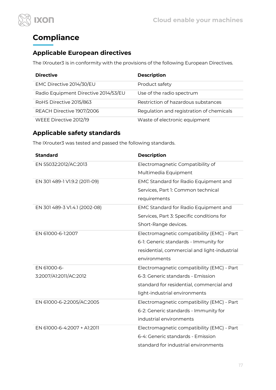



# <span id="page-16-0"></span>**Compliance**

## <span id="page-16-1"></span>**Applicable European directives**

The IXrouter3 is in conformity with the provisions of the following European Directives.

| <b>Directive</b>                     | <b>Description</b>                       |
|--------------------------------------|------------------------------------------|
| EMC Directive 2014/30/EU             | Product safety                           |
| Radio Equipment Directive 2014/53/EU | Use of the radio spectrum                |
| RoHS Directive 2015/863              | Restriction of hazardous substances      |
| REACH Directive 1907/2006            | Regulation and registration of chemicals |
| WEEE Directive 2012/19               | Waste of electronic equipment            |

#### <span id="page-16-2"></span>**Applicable safety standards**

The IXrouter3 was tested and passed the following standards.

| <b>Standard</b>               | <b>Description</b>                           |  |
|-------------------------------|----------------------------------------------|--|
| EN 55032:2012/AC:2013         | Electromagnetic Compatibility of             |  |
|                               | Multimedia Equipment                         |  |
| EN 301 489-1 V1.9.2 (2011-09) | EMC Standard for Radio Equipment and         |  |
|                               | Services, Part 1: Common technical           |  |
|                               | requirements                                 |  |
| EN 301 489-3 V1.4.1 (2002-08) | EMC Standard for Radio Equipment and         |  |
|                               | Services, Part 3: Specific conditions for    |  |
|                               | Short-Range devices.                         |  |
| EN 61000-6-1:2007             | Electromagnetic compatibility (EMC) - Part   |  |
|                               | 6-1: Generic standards - Immunity for        |  |
|                               | residential, commercial and light-industrial |  |
|                               | environments                                 |  |
| EN 61000-6-                   | Electromagnetic compatibility (EMC) - Part   |  |
| 3:2007/A1:2011/AC:2012        | 6-3: Generic standards - Emission            |  |
|                               | standard for residential, commercial and     |  |
|                               | light-industrial environments                |  |
| EN 61000-6-2:2005/AC:2005     | Electromagnetic compatibility (EMC) - Part   |  |
|                               | 6-2: Generic standards - Immunity for        |  |
|                               | industrial environments                      |  |
| EN 61000-6-4:2007 + A1:2011   | Electromagnetic compatibility (EMC) - Part   |  |
|                               | 6-4: Generic standards - Emission            |  |
|                               | standard for industrial environments         |  |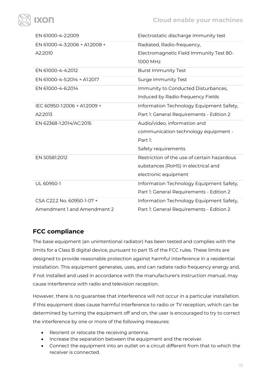

| EN 61000-4-2:2009             | Electrostatic discharge immunity test       |  |
|-------------------------------|---------------------------------------------|--|
| EN 61000-4-3:2006 + A1:2008 + | Radiated, Radio-frequency,                  |  |
| A2:2010                       | Electromagnetic Field Immunity Test 80-     |  |
|                               | 1000 MHz                                    |  |
| EN 61000-4-4:2012             | <b>Burst Immunity Test</b>                  |  |
| EN 61000-4-5:2014 + A1:2017   | <b>Surge Immunity Test</b>                  |  |
| EN 61000-4-6:2014             | Immunity to Conducted Disturbances,         |  |
|                               | Induced by Radio-frequency Fields           |  |
| IEC 60950-1:2006 + A1:2009 +  | Information Technology Equipment Safety,    |  |
| A2:2013                       | Part 1: General Requirements - Edition 2    |  |
| EN 62368-1:2014/AC:2015       | Audio/video, information and                |  |
|                               | communication technology equipment -        |  |
|                               | Part 1:                                     |  |
|                               | Safety requirements                         |  |
| EN 50581:2012                 | Restriction of the use of certain hazardous |  |
|                               | substances (RoHS) in electrical and         |  |
|                               | electronic equipment                        |  |
| UL 60950-1                    | Information Technology Equipment Safety,    |  |
|                               | Part 1: General Requirements - Edition 2    |  |
| CSA C22.2 No. 60950-1-07 +    | Information Technology Equipment Safety,    |  |
| Amendment 1 and Amendment 2   | Part 1: General Requirements - Edition 2    |  |

### <span id="page-17-0"></span>**FCC compliance**

The base equipment (an unintentional radiator) has been tested and complies with the limits for a Class B digital device, pursuant to part 15 of the FCC rules. These limits are designed to provide reasonable protection against harmful interference in a residential installation. This equipment generates, uses, and can radiate radio frequency energy and, if not installed and used in accordance with the manufacturer's instruction manual, may cause interference with radio and television reception.

However, there is no guarantee that interference will not occur in a particular installation. If this equipment does cause harmful interference to radio or TV reception, which can be determined by turning the equipment off and on, the user is encouraged to try to correct the interference by one or more of the following measures:

- Reorient or relocate the receiving antenna.
- Increase the separation between the equipment and the receiver.
- Connect the equipment into an outlet on a circuit different from that to which the receiver is connected.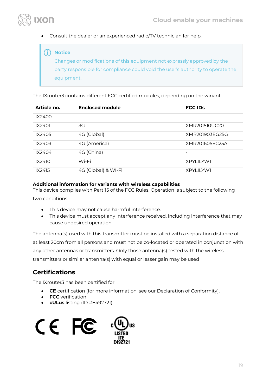

• Consult the dealer or an experienced radio/TV technician for help.

#### **Notice**

Changes or modifications of this equipment not expressly approved by the party responsible for compliance could void the user's authority to operate the equipment.

The IXrouter3 contains different FCC certified modules, depending on the variant.

| Article no. | <b>Enclosed module</b>   | <b>FCC IDS</b>     |
|-------------|--------------------------|--------------------|
| IX2400      | $\overline{\phantom{0}}$ |                    |
| IX2401      | 3G                       | XMR201510UC20      |
| IX2405      | 4G (Global)              | XMR201903FG25G     |
| IX2403      | 4G (America)             | XMR201605EC25A     |
| IX2404      | 4G (China)               |                    |
| IX2410      | Wi-Fi                    | <b>XPYI II YW1</b> |
| IX2415      | 4G (Global) & WI-Fi      | <b>XPYI II YW1</b> |

#### **Additional information for variants with wireless capabilities**

This device complies with Part 15 of the FCC Rules. Operation is subject to the following two conditions:

- This device may not cause harmful interference.
- This device must accept any interference received, including interference that may cause undesired operation.

The antenna(s) used with this transmitter must be installed with a separation distance of at least 20cm from all persons and must not be co-located or operated in conjunction with any other antennas or transmitters. Only those antenna(s) tested with the wireless transmitters or similar antenna(s) with equal or lesser gain may be used

#### <span id="page-18-0"></span>**Certifications**

The IXrouter3 has been certified for:

- **CE** certification (for more information, see our Declaration of Conformity).
- **FCC** verification
- **cULus** listing (ID #E492721)